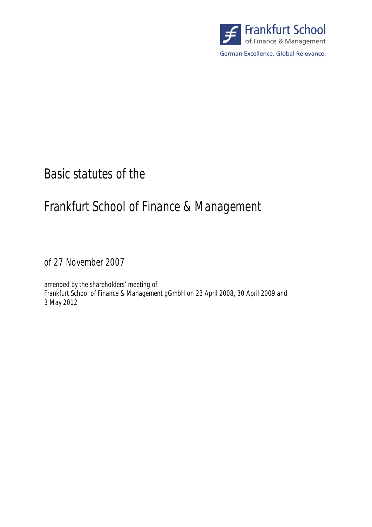

# Basic statutes of the

# Frankfurt School of Finance & Management

of 27 November 2007

amended by the shareholders' meeting of Frankfurt School of Finance & Management gGmbH on 23 April 2008, 30 April 2009 and 3 May 2012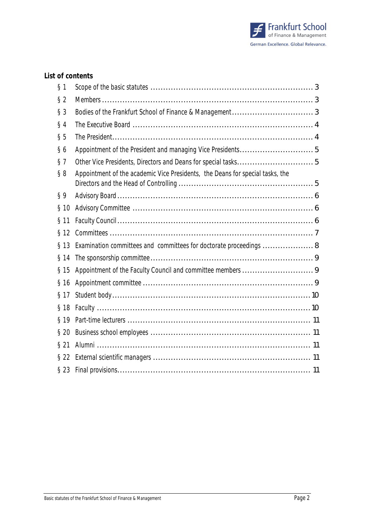

## **List of contents**

| § 1     |                                                                               |  |
|---------|-------------------------------------------------------------------------------|--|
| $§$ 2   |                                                                               |  |
| $§$ 3   |                                                                               |  |
| $§$ 4   |                                                                               |  |
| § 5     |                                                                               |  |
| §6      |                                                                               |  |
| § 7     |                                                                               |  |
| § 8     | Appointment of the academic Vice Presidents, the Deans for special tasks, the |  |
| §9      |                                                                               |  |
| § 10    |                                                                               |  |
| $§$ 11  |                                                                               |  |
| $§$ 12  |                                                                               |  |
| $§$ 13  | Examination committees and committees for doctorate proceedings  8            |  |
| § 14    |                                                                               |  |
| $§$ 15  |                                                                               |  |
| $§$ 16  |                                                                               |  |
| § 17    |                                                                               |  |
| $§$ 18  |                                                                               |  |
| $§$ 19  |                                                                               |  |
| $\S 20$ |                                                                               |  |
| $§$ 21  |                                                                               |  |
| $§$ 22  |                                                                               |  |
| $§$ 23  |                                                                               |  |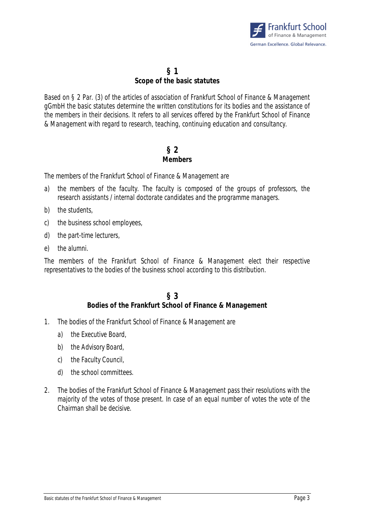

## **§ 1 Scope of the basic statutes**

Based on § 2 Par. (3) of the articles of association of Frankfurt School of Finance & Management gGmbH the basic statutes determine the written constitutions for its bodies and the assistance of the members in their decisions. It refers to all services offered by the Frankfurt School of Finance & Management with regard to research, teaching, continuing education and consultancy.

# **§ 2 Members**

The members of the Frankfurt School of Finance & Management are

- a) the members of the faculty. The faculty is composed of the groups of professors, the research assistants / internal doctorate candidates and the programme managers.
- b) the students,
- c) the business school employees,
- d) the part-time lecturers,
- e) the alumni.

The members of the Frankfurt School of Finance & Management elect their respective representatives to the bodies of the business school according to this distribution.

## **§ 3 Bodies of the Frankfurt School of Finance & Management**

- 1. The bodies of the Frankfurt School of Finance & Management are
	- a) the Executive Board,
	- b) the Advisory Board,
	- c) the Faculty Council,
	- d) the school committees.
- 2. The bodies of the Frankfurt School of Finance & Management pass their resolutions with the majority of the votes of those present. In case of an equal number of votes the vote of the Chairman shall be decisive.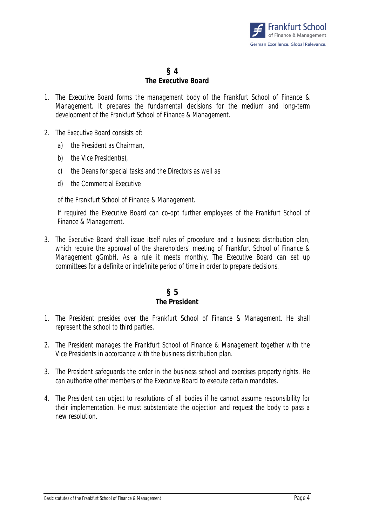

#### **§ 4 The Executive Board**

- 1. The Executive Board forms the management body of the Frankfurt School of Finance & Management. It prepares the fundamental decisions for the medium and long-term development of the Frankfurt School of Finance & Management.
- 2. The Executive Board consists of:
	- a) the President as Chairman,
	- b) the Vice President(s),
	- c) the Deans for special tasks and the Directors as well as
	- d) the Commercial Executive

of the Frankfurt School of Finance & Management.

If required the Executive Board can co-opt further employees of the Frankfurt School of Finance & Management.

3. The Executive Board shall issue itself rules of procedure and a business distribution plan, which require the approval of the shareholders' meeting of Frankfurt School of Finance & Management gGmbH. As a rule it meets monthly. The Executive Board can set up committees for a definite or indefinite period of time in order to prepare decisions.

#### **§ 5 The President**

- 1. The President presides over the Frankfurt School of Finance & Management. He shall represent the school to third parties.
- 2. The President manages the Frankfurt School of Finance & Management together with the Vice Presidents in accordance with the business distribution plan.
- 3. The President safeguards the order in the business school and exercises property rights. He can authorize other members of the Executive Board to execute certain mandates.
- 4. The President can object to resolutions of all bodies if he cannot assume responsibility for their implementation. He must substantiate the objection and request the body to pass a new resolution.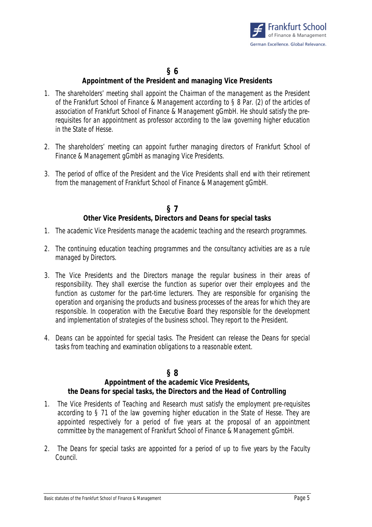

# **§ 6**

### **Appointment of the President and managing Vice Presidents**

- 1. The shareholders' meeting shall appoint the Chairman of the management as the President of the Frankfurt School of Finance & Management according to § 8 Par. (2) of the articles of association of Frankfurt School of Finance & Management gGmbH. He should satisfy the prerequisites for an appointment as professor according to the law governing higher education in the State of Hesse.
- 2. The shareholders' meeting can appoint further managing directors of Frankfurt School of Finance & Management gGmbH as managing Vice Presidents.
- 3. The period of office of the President and the Vice Presidents shall end with their retirement from the management of Frankfurt School of Finance & Management gGmbH.

#### **§ 7 Other Vice Presidents, Directors and Deans for special tasks**

- 1. The academic Vice Presidents manage the academic teaching and the research programmes.
- 2. The continuing education teaching programmes and the consultancy activities are as a rule managed by Directors.
- 3. The Vice Presidents and the Directors manage the regular business in their areas of responsibility. They shall exercise the function as superior over their employees and the function as customer for the part-time lecturers. They are responsible for organising the operation and organising the products and business processes of the areas for which they are responsible. In cooperation with the Executive Board they responsible for the development and implementation of strategies of the business school. They report to the President.
- 4. Deans can be appointed for special tasks. The President can release the Deans for special tasks from teaching and examination obligations to a reasonable extent.

#### **§ 8**

#### **Appointment of the academic Vice Presidents, the Deans for special tasks, the Directors and the Head of Controlling**

- 1. The Vice Presidents of Teaching and Research must satisfy the employment pre-requisites according to § 71 of the law governing higher education in the State of Hesse. They are appointed respectively for a period of five years at the proposal of an appointment committee by the management of Frankfurt School of Finance & Management gGmbH.
- 2. The Deans for special tasks are appointed for a period of up to five years by the Faculty Council.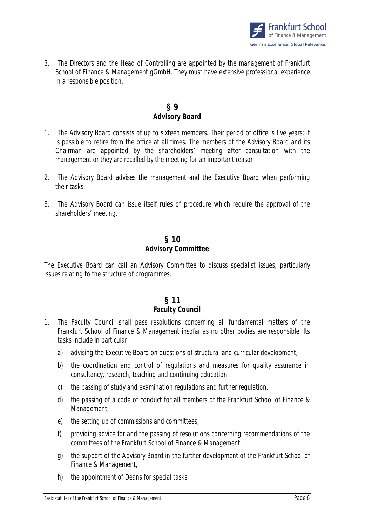

3. The Directors and the Head of Controlling are appointed by the management of Frankfurt School of Finance & Management gGmbH. They must have extensive professional experience in a responsible position.

### **§ 9 Advisory Board**

- 1. The Advisory Board consists of up to sixteen members. Their period of office is five years; it is possible to retire from the office at all times. The members of the Advisory Board and its Chairman are appointed by the shareholders' meeting after consultation with the management or they are recalled by the meeting for an important reason.
- 2. The Advisory Board advises the management and the Executive Board when performing their tasks.
- 3. The Advisory Board can issue itself rules of procedure which require the approval of the shareholders' meeting.

#### **§ 10 Advisory Committee**

The Executive Board can call an Advisory Committee to discuss specialist issues, particularly issues relating to the structure of programmes.

# **§ 11**

#### **Faculty Council**

- 1. The Faculty Council shall pass resolutions concerning all fundamental matters of the Frankfurt School of Finance & Management insofar as no other bodies are responsible. Its tasks include in particular
	- a) advising the Executive Board on questions of structural and curricular development,
	- b) the coordination and control of regulations and measures for quality assurance in consultancy, research, teaching and continuing education,
	- c) the passing of study and examination regulations and further regulation,
	- d) the passing of a code of conduct for all members of the Frankfurt School of Finance & Management,
	- e) the setting up of commissions and committees,
	- f) providing advice for and the passing of resolutions concerning recommendations of the committees of the Frankfurt School of Finance & Management,
	- g) the support of the Advisory Board in the further development of the Frankfurt School of Finance & Management,
	- h) the appointment of Deans for special tasks.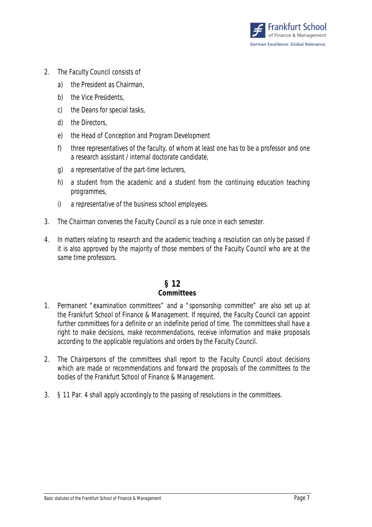

- 2. The Faculty Council consists of
	- a) the President as Chairman,
	- b) the Vice Presidents,
	- c) the Deans for special tasks,
	- d) the Directors,
	- e) the Head of Conception and Program Development
	- f) three representatives of the faculty, of whom at least one has to be a professor and one a research assistant / internal doctorate candidate,
	- g) a representative of the part-time lecturers,
	- h) a student from the academic and a student from the continuing education teaching programmes,
	- i) a representative of the business school employees.
- 3. The Chairman convenes the Faculty Council as a rule once in each semester.
- 4. In matters relating to research and the academic teaching a resolution can only be passed if it is also approved by the majority of those members of the Faculty Council who are at the same time professors.

#### **§ 12 Committees**

- 1. Permanent "examination committees" and a "sponsorship committee" are also set up at the Frankfurt School of Finance & Management. If required, the Faculty Council can appoint further committees for a definite or an indefinite period of time. The committees shall have a right to make decisions, make recommendations, receive information and make proposals according to the applicable regulations and orders by the Faculty Council.
- 2. The Chairpersons of the committees shall report to the Faculty Council about decisions which are made or recommendations and forward the proposals of the committees to the bodies of the Frankfurt School of Finance & Management.
- 3. § 11 Par. 4 shall apply accordingly to the passing of resolutions in the committees.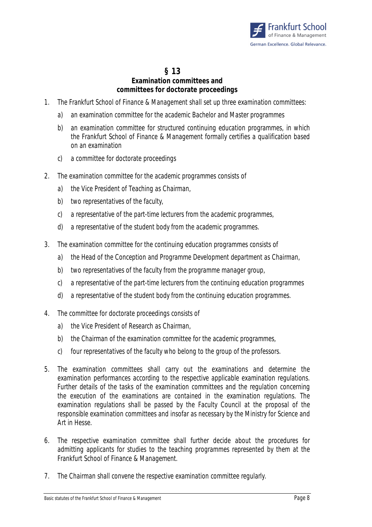

#### **§ 13 Examination committees and committees for doctorate proceedings**

- 1. The Frankfurt School of Finance & Management shall set up three examination committees:
	- a) an examination committee for the academic Bachelor and Master programmes
	- b) an examination committee for structured continuing education programmes, in which the Frankfurt School of Finance & Management formally certifies a qualification based on an examination
	- c) a committee for doctorate proceedings
- 2. The examination committee for the academic programmes consists of
	- a) the Vice President of Teaching as Chairman,
	- b) two representatives of the faculty,
	- c) a representative of the part-time lecturers from the academic programmes,
	- d) a representative of the student body from the academic programmes.
- 3. The examination committee for the continuing education programmes consists of
	- a) the Head of the Conception and Programme Development department as Chairman,
	- b) two representatives of the faculty from the programme manager group,
	- c) a representative of the part-time lecturers from the continuing education programmes
	- d) a representative of the student body from the continuing education programmes.
- 4. The committee for doctorate proceedings consists of
	- a) the Vice President of Research as Chairman,
	- b) the Chairman of the examination committee for the academic programmes,
	- c) four representatives of the faculty who belong to the group of the professors.
- 5. The examination committees shall carry out the examinations and determine the examination performances according to the respective applicable examination regulations. Further details of the tasks of the examination committees and the regulation concerning the execution of the examinations are contained in the examination regulations. The examination regulations shall be passed by the Faculty Council at the proposal of the responsible examination committees and insofar as necessary by the Ministry for Science and Art in Hesse.
- 6. The respective examination committee shall further decide about the procedures for admitting applicants for studies to the teaching programmes represented by them at the Frankfurt School of Finance & Management.
- 7. The Chairman shall convene the respective examination committee regularly.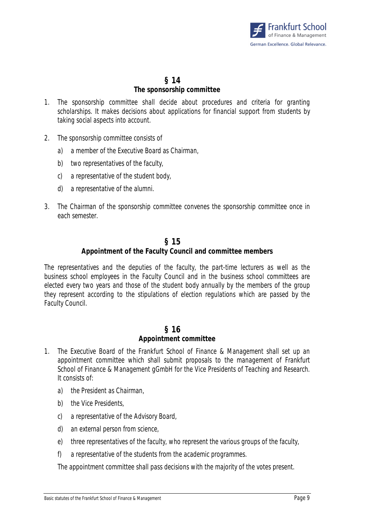

## **§ 14 The sponsorship committee**

- 1. The sponsorship committee shall decide about procedures and criteria for granting scholarships. It makes decisions about applications for financial support from students by taking social aspects into account.
- 2. The sponsorship committee consists of
	- a) a member of the Executive Board as Chairman,
	- b) two representatives of the faculty,
	- c) a representative of the student body,
	- d) a representative of the alumni.
- 3. The Chairman of the sponsorship committee convenes the sponsorship committee once in each semester.

#### **§ 15**

#### **Appointment of the Faculty Council and committee members**

The representatives and the deputies of the faculty, the part-time lecturers as well as the business school employees in the Faculty Council and in the business school committees are elected every two years and those of the student body annually by the members of the group they represent according to the stipulations of election regulations which are passed by the Faculty Council.

#### **§ 16 Appointment committee**

- 1. The Executive Board of the Frankfurt School of Finance & Management shall set up an appointment committee which shall submit proposals to the management of Frankfurt School of Finance & Management gGmbH for the Vice Presidents of Teaching and Research. It consists of:
	- a) the President as Chairman,
	- b) the Vice Presidents,
	- c) a representative of the Advisory Board,
	- d) an external person from science,
	- e) three representatives of the faculty, who represent the various groups of the faculty,
	- f) a representative of the students from the academic programmes.

The appointment committee shall pass decisions with the majority of the votes present.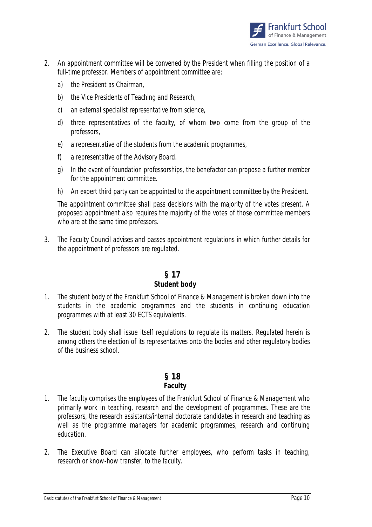

- 2. An appointment committee will be convened by the President when filling the position of a full-time professor. Members of appointment committee are:
	- a) the President as Chairman,
	- b) the Vice Presidents of Teaching and Research,
	- c) an external specialist representative from science,
	- d) three representatives of the faculty, of whom two come from the group of the professors,
	- e) a representative of the students from the academic programmes,
	- f) a representative of the Advisory Board.
	- g) In the event of foundation professorships, the benefactor can propose a further member for the appointment committee.
	- h) An expert third party can be appointed to the appointment committee by the President.

The appointment committee shall pass decisions with the majority of the votes present. A proposed appointment also requires the majority of the votes of those committee members who are at the same time professors.

3. The Faculty Council advises and passes appointment regulations in which further details for the appointment of professors are regulated.

# **§ 17**

#### **Student body**

- 1. The student body of the Frankfurt School of Finance & Management is broken down into the students in the academic programmes and the students in continuing education programmes with at least 30 ECTS equivalents.
- 2. The student body shall issue itself regulations to regulate its matters. Regulated herein is among others the election of its representatives onto the bodies and other regulatory bodies of the business school.

#### **§ 18 Faculty**

- 1. The faculty comprises the employees of the Frankfurt School of Finance & Management who primarily work in teaching, research and the development of programmes. These are the professors, the research assistants/internal doctorate candidates in research and teaching as well as the programme managers for academic programmes, research and continuing education.
- 2. The Executive Board can allocate further employees, who perform tasks in teaching, research or know-how transfer, to the faculty.